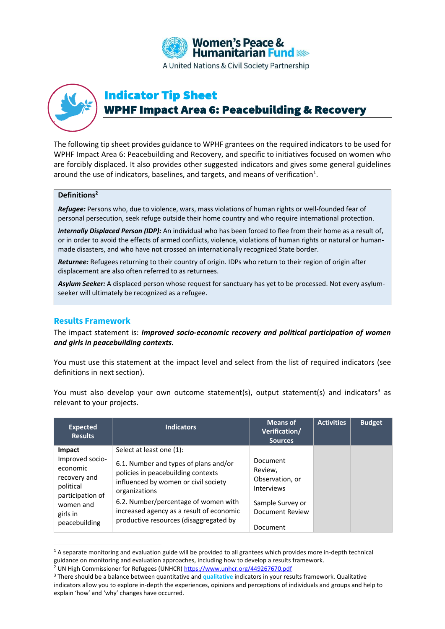



The following tip sheet provides guidance to WPHF grantees on the required indicators to be used for WPHF Impact Area 6: Peacebuilding and Recovery, and specific to initiatives focused on women who are forcibly displaced. It also provides other suggested indicators and gives some general guidelines around the use of indicators, baselines, and targets, and means of verification<sup>1</sup>.

## **Definitions<sup>2</sup>**

*Refugee:* Persons who, due to violence, wars, mass violations of human rights or well-founded fear of personal persecution, seek refuge outside their home country and who require international protection.

*Internally Displaced Person (IDP):* An individual who has been forced to flee from their home as a result of, or in order to avoid the effects of armed conflicts, violence, violations of human rights or natural or humanmade disasters, and who have not crossed an internationally recognized State border.

*Returnee:* Refugees returning to their country of origin. IDPs who return to their region of origin after displacement are also often referred to as returnees.

*Asylum Seeker:* A displaced person whose request for sanctuary has yet to be processed. Not every asylumseeker will ultimately be recognized as a refugee.

#### **Results Framework**

The impact statement is: *Improved socio-economic recovery and political participation of women and girls in peacebuilding contexts.* 

You must use this statement at the impact level and select from the list of required indicators (see definitions in next section).

You must also develop your own outcome statement(s), output statement(s) and indicators<sup>3</sup> as relevant to your projects.

| <b>Expected</b><br><b>Results</b>                                                                                      | <b>Indicators</b>                                                                                                                    | <b>Means of</b><br>Verification/<br><b>Sources</b>          | <b>Activities</b> | <b>Budget</b> |
|------------------------------------------------------------------------------------------------------------------------|--------------------------------------------------------------------------------------------------------------------------------------|-------------------------------------------------------------|-------------------|---------------|
| Impact                                                                                                                 | Select at least one (1):                                                                                                             |                                                             |                   |               |
| Improved socio-<br>economic<br>recovery and<br>political<br>participation of<br>women and<br>girls in<br>peacebuilding | 6.1. Number and types of plans and/or<br>policies in peacebuilding contexts<br>influenced by women or civil society<br>organizations | Document<br>Review,<br>Observation, or<br><b>Interviews</b> |                   |               |
|                                                                                                                        | 6.2. Number/percentage of women with<br>increased agency as a result of economic<br>productive resources (disaggregated by           | Sample Survey or<br>Document Review<br>Document             |                   |               |

<sup>&</sup>lt;sup>1</sup> A separate monitoring and evaluation guide will be provided to all grantees which provides more in-depth technical guidance on monitoring and evaluation approaches, including how to develop a results framework.

<sup>2</sup> UN High Commissioner for Refugees (UNHCR) <https://www.unhcr.org/449267670.pdf>

<sup>3</sup> There should be a balance between quantitative and **qualitative** indicators in your results framework. Qualitative indicators allow you to explore in-depth the experiences, opinions and perceptions of individuals and groups and help to explain 'how' and 'why' changes have occurred.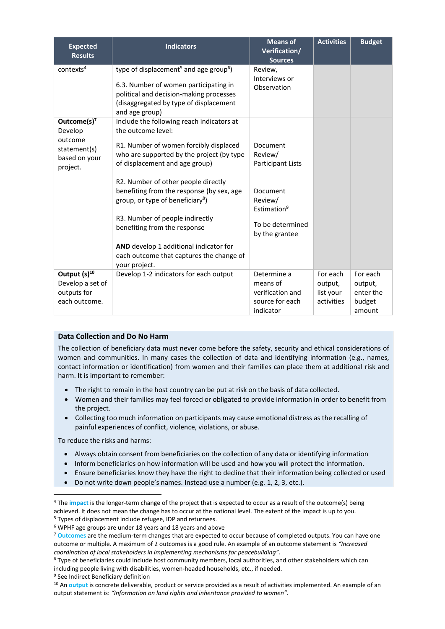| <b>Expected</b><br><b>Results</b>                                                          | <b>Indicators</b>                                                                                                                                                                                                                                                                                                                                                                                                                                                                                      | <b>Means of</b><br>Verification/<br><b>Sources</b>                                                                                      | <b>Activities</b>                              | <b>Budget</b>                                        |
|--------------------------------------------------------------------------------------------|--------------------------------------------------------------------------------------------------------------------------------------------------------------------------------------------------------------------------------------------------------------------------------------------------------------------------------------------------------------------------------------------------------------------------------------------------------------------------------------------------------|-----------------------------------------------------------------------------------------------------------------------------------------|------------------------------------------------|------------------------------------------------------|
| contexts <sup>4</sup>                                                                      | type of displacement <sup>5</sup> and age group <sup>6</sup> )<br>6.3. Number of women participating in<br>political and decision-making processes<br>(disaggregated by type of displacement<br>and age group)                                                                                                                                                                                                                                                                                         | Review,<br>Interviews or<br>Observation                                                                                                 |                                                |                                                      |
| Outcome(s) <sup>7</sup><br>Develop<br>outcome<br>statement(s)<br>based on your<br>project. | Include the following reach indicators at<br>the outcome level:<br>R1. Number of women forcibly displaced<br>who are supported by the project (by type<br>of displacement and age group)<br>R2. Number of other people directly<br>benefiting from the response (by sex, age<br>group, or type of beneficiary <sup>8</sup> )<br>R3. Number of people indirectly<br>benefiting from the response<br>AND develop 1 additional indicator for<br>each outcome that captures the change of<br>your project. | Document<br>Review/<br><b>Participant Lists</b><br>Document<br>Review/<br>Estimation <sup>9</sup><br>To be determined<br>by the grantee |                                                |                                                      |
| Output (s) <sup>10</sup><br>Develop a set of<br>outputs for<br>each outcome.               | Develop 1-2 indicators for each output                                                                                                                                                                                                                                                                                                                                                                                                                                                                 | Determine a<br>means of<br>verification and<br>source for each<br>indicator                                                             | For each<br>output,<br>list your<br>activities | For each<br>output,<br>enter the<br>budget<br>amount |

#### **Data Collection and Do No Harm**

The collection of beneficiary data must never come before the safety, security and ethical considerations of women and communities. In many cases the collection of data and identifying information (e.g., names, contact information or identification) from women and their families can place them at additional risk and harm. It is important to remember:

- The right to remain in the host country can be put at risk on the basis of data collected.
- Women and their families may feel forced or obligated to provide information in order to benefit from the project.
- Collecting too much information on participants may cause emotional distress as the recalling of painful experiences of conflict, violence, violations, or abuse.

To reduce the risks and harms:

- Always obtain consent from beneficiaries on the collection of any data or identifying information
- Inform beneficiaries on how information will be used and how you will protect the information.
- Ensure beneficiaries know they have the right to decline that their information being collected or used
- Do not write down people's names. Instead use a number (e.g. 1, 2, 3, etc.).

<sup>9</sup> See Indirect Beneficiary definition

<sup>4</sup> The **impact** is the longer-term change of the project that is expected to occur as a result of the outcome(s) being achieved. It does not mean the change has to occur at the national level. The extent of the impact is up to you. <sup>5</sup> Types of displacement include refugee, IDP and returnees.

<sup>6</sup> WPHF age groups are under 18 years and 18 years and above

<sup>&</sup>lt;sup>7</sup> Outcomes are the medium-term changes that are expected to occur because of completed outputs. You can have one outcome or multiple. A maximum of 2 outcomes is a good rule. An example of an outcome statement is *"Increased coordination of local stakeholders in implementing mechanisms for peacebuilding".*

<sup>&</sup>lt;sup>8</sup> Type of beneficiaries could include host community members, local authorities, and other stakeholders which can including people living with disabilities, women-headed households, etc., if needed.

<sup>&</sup>lt;sup>10</sup> An **output** is concrete deliverable, product or service provided as a result of activities implemented. An example of an output statement is: *"Information on land rights and inheritance provided to women".*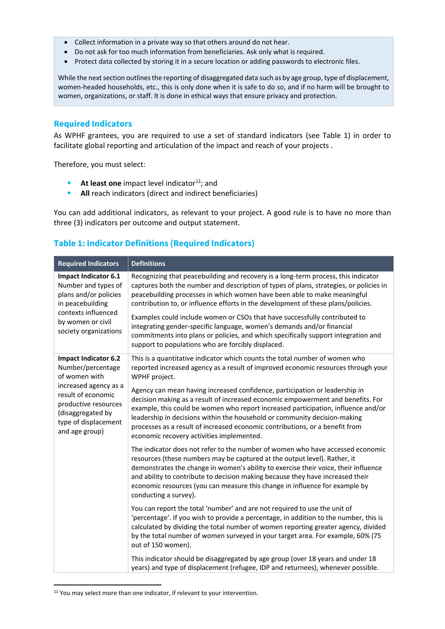- Collect information in a private way so that others around do not hear.
- Do not ask for too much information from beneficiaries. Ask only what is required.
- Protect data collected by storing it in a secure location or adding passwords to electronic files.

While the next section outlines the reporting of disaggregated data such as by age group, type of displacement, women-headed households, etc., this is only done when it is safe to do so, and if no harm will be brought to women, organizations, or staff. It is done in ethical ways that ensure privacy and protection.

# **Required Indicators**

As WPHF grantees, you are required to use a set of standard indicators (see Table 1) in order to facilitate global reporting and articulation of the impact and reach of your projects .

Therefore, you must select:

- **E** At least one impact level indicator<sup>11</sup>; and
- **E** All reach indicators (direct and indirect beneficiaries)

You can add additional indicators, as relevant to your project. A good rule is to have no more than three (3) indicators per outcome and output statement.

# **Table 1: Indicator Definitions (Required Indicators)**

| <b>Required Indicators</b>                                                                                                                                                                       | <b>Definitions</b>                                                                                                                                                                                                                                                                                                                                                                                                                                                                                                                                                                                                                                |
|--------------------------------------------------------------------------------------------------------------------------------------------------------------------------------------------------|---------------------------------------------------------------------------------------------------------------------------------------------------------------------------------------------------------------------------------------------------------------------------------------------------------------------------------------------------------------------------------------------------------------------------------------------------------------------------------------------------------------------------------------------------------------------------------------------------------------------------------------------------|
| Impact Indicator 6.1<br>Number and types of<br>plans and/or policies<br>in peacebuilding<br>contexts influenced<br>by women or civil<br>society organizations                                    | Recognizing that peacebuilding and recovery is a long-term process, this indicator<br>captures both the number and description of types of plans, strategies, or policies in<br>peacebuilding processes in which women have been able to make meaningful<br>contribution to, or influence efforts in the development of these plans/policies.<br>Examples could include women or CSOs that have successfully contributed to<br>integrating gender-specific language, women's demands and/or financial<br>commitments into plans or policies, and which specifically support integration and<br>support to populations who are forcibly displaced. |
| Impact Indicator 6.2<br>Number/percentage<br>of women with<br>increased agency as a<br>result of economic<br>productive resources<br>(disaggregated by<br>type of displacement<br>and age group) | This is a quantitative indicator which counts the total number of women who<br>reported increased agency as a result of improved economic resources through your<br>WPHF project.                                                                                                                                                                                                                                                                                                                                                                                                                                                                 |
|                                                                                                                                                                                                  | Agency can mean having increased confidence, participation or leadership in<br>decision making as a result of increased economic empowerment and benefits. For<br>example, this could be women who report increased participation, influence and/or<br>leadership in decisions within the household or community decision-making<br>processes as a result of increased economic contributions, or a benefit from<br>economic recovery activities implemented.                                                                                                                                                                                     |
|                                                                                                                                                                                                  | The indicator does not refer to the number of women who have accessed economic<br>resources (these numbers may be captured at the output level). Rather, it<br>demonstrates the change in women's ability to exercise their voice, their influence<br>and ability to contribute to decision making because they have increased their<br>economic resources (you can measure this change in influence for example by<br>conducting a survey).                                                                                                                                                                                                      |
|                                                                                                                                                                                                  | You can report the total 'number' and are not required to use the unit of<br>'percentage'. If you wish to provide a percentage, in addition to the number, this is<br>calculated by dividing the total number of women reporting greater agency, divided<br>by the total number of women surveyed in your target area. For example, 60% (75<br>out of 150 women).                                                                                                                                                                                                                                                                                 |
|                                                                                                                                                                                                  | This indicator should be disaggregated by age group (over 18 years and under 18<br>years) and type of displacement (refugee, IDP and returnees), whenever possible.                                                                                                                                                                                                                                                                                                                                                                                                                                                                               |

<sup>&</sup>lt;sup>11</sup> You may select more than one indicator, if relevant to your intervention.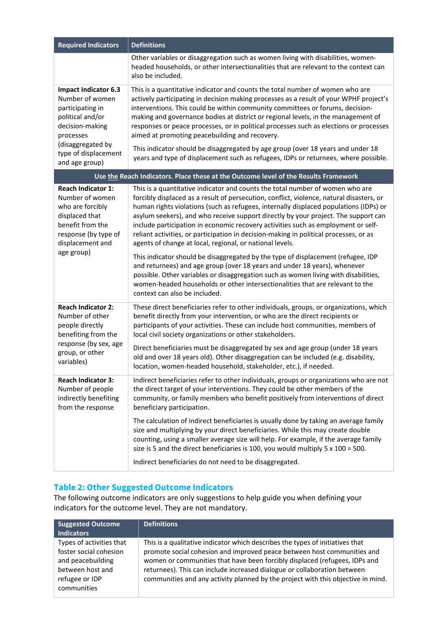| <b>Required Indicators</b>                                                                                                                                                     | <b>Definitions</b>                                                                                                                                                                                                                                                                                                                                                                                                                                                                                                                                                                                                                                                                                                                                                                                                                                         |
|--------------------------------------------------------------------------------------------------------------------------------------------------------------------------------|------------------------------------------------------------------------------------------------------------------------------------------------------------------------------------------------------------------------------------------------------------------------------------------------------------------------------------------------------------------------------------------------------------------------------------------------------------------------------------------------------------------------------------------------------------------------------------------------------------------------------------------------------------------------------------------------------------------------------------------------------------------------------------------------------------------------------------------------------------|
|                                                                                                                                                                                | Other variables or disaggregation such as women living with disabilities, women-<br>headed households, or other intersectionalities that are relevant to the context can<br>also be included.                                                                                                                                                                                                                                                                                                                                                                                                                                                                                                                                                                                                                                                              |
| Impact Indicator 6.3<br>Number of women<br>participating in<br>political and/or<br>decision-making<br>processes<br>(disaggregated by<br>type of displacement<br>and age group) | This is a quantitative indicator and counts the total number of women who are<br>actively participating in decision making processes as a result of your WPHF project's<br>interventions. This could be within community committees or forums, decision-<br>making and governance bodies at district or regional levels, in the management of<br>responses or peace processes, or in political processes such as elections or processes<br>aimed at promoting peacebuilding and recovery.<br>This indicator should be disaggregated by age group (over 18 years and under 18<br>years and type of displacement such as refugees, IDPs or returnees, where possible.                                                                                                                                                                                        |
|                                                                                                                                                                                | Use the Reach Indicators. Place these at the Outcome level of the Results Framework                                                                                                                                                                                                                                                                                                                                                                                                                                                                                                                                                                                                                                                                                                                                                                        |
| <b>Reach Indicator 1:</b><br>Number of women<br>who are forcibly<br>displaced that<br>benefit from the<br>response (by type of<br>displacement and<br>age group)               | This is a quantitative indicator and counts the total number of women who are<br>forcibly displaced as a result of persecution, conflict, violence, natural disasters, or<br>human rights violations (such as refugees, internally displaced populations (IDPs) or<br>asylum seekers), and who receive support directly by your project. The support can<br>include participation in economic recovery activities such as employment or self-<br>reliant activities, or participation in decision-making in political processes, or as<br>agents of change at local, regional, or national levels.<br>This indicator should be disaggregated by the type of displacement (refugee, IDP<br>and returnees) and age group (over 18 years and under 18 years), whenever<br>possible. Other variables or disaggregation such as women living with disabilities, |
|                                                                                                                                                                                | women-headed households or other intersectionalities that are relevant to the<br>context can also be included.                                                                                                                                                                                                                                                                                                                                                                                                                                                                                                                                                                                                                                                                                                                                             |
| <b>Reach Indicator 2:</b><br>Number of other<br>people directly<br>benefiting from the<br>response (by sex, age<br>group, or other<br>variables)                               | These direct beneficiaries refer to other individuals, groups, or organizations, which<br>benefit directly from your intervention, or who are the direct recipients or<br>participants of your activities. These can include host communities, members of<br>local civil society organizations or other stakeholders.                                                                                                                                                                                                                                                                                                                                                                                                                                                                                                                                      |
|                                                                                                                                                                                | Direct beneficiaries must be disaggregated by sex and age group (under 18 years<br>old and over 18 years old). Other disaggregation can be included (e.g. disability,<br>location, women-headed household, stakeholder, etc.), if needed.                                                                                                                                                                                                                                                                                                                                                                                                                                                                                                                                                                                                                  |
| <b>Reach Indicator 3:</b><br>Number of people<br>indirectly benefiting<br>from the response                                                                                    | Indirect beneficiaries refer to other individuals, groups or organizations who are not<br>the direct target of your interventions. They could be other members of the<br>community, or family members who benefit positively from interventions of direct<br>beneficiary participation.                                                                                                                                                                                                                                                                                                                                                                                                                                                                                                                                                                    |
|                                                                                                                                                                                | The calculation of indirect beneficiaries is usually done by taking an average family<br>size and multiplying by your direct beneficiaries. While this may create double<br>counting, using a smaller average size will help. For example, if the average family<br>size is 5 and the direct beneficiaries is 100, you would multiply 5 x 100 = 500.                                                                                                                                                                                                                                                                                                                                                                                                                                                                                                       |
|                                                                                                                                                                                | Indirect beneficiaries do not need to be disaggregated.                                                                                                                                                                                                                                                                                                                                                                                                                                                                                                                                                                                                                                                                                                                                                                                                    |

# **Table 2: Other Suggested Outcome Indicators**

The following outcome indicators are only suggestions to help guide you when defining your indicators for the outcome level. They are not mandatory.

| <b>Suggested Outcome</b><br><b>Indicators</b>                                                                                | <b>Definitions</b>                                                                                                                                                                                                                                                                                                                                                                                     |
|------------------------------------------------------------------------------------------------------------------------------|--------------------------------------------------------------------------------------------------------------------------------------------------------------------------------------------------------------------------------------------------------------------------------------------------------------------------------------------------------------------------------------------------------|
| Types of activities that<br>foster social cohesion<br>and peacebuilding<br>between host and<br>refugee or IDP<br>communities | This is a qualitative indicator which describes the types of initiatives that<br>promote social cohesion and improved peace between host communities and<br>women or communities that have been forcibly displaced (refugees, IDPs and<br>returnees). This can include increased dialogue or collaboration between<br>communities and any activity planned by the project with this objective in mind. |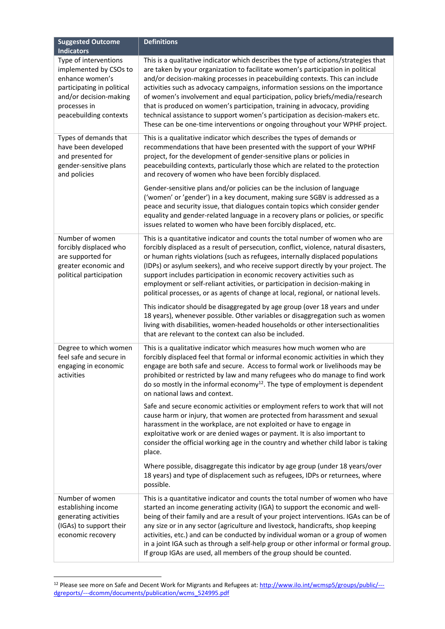| <b>Suggested Outcome</b><br><b>Indicators</b>                                                                                               | <b>Definitions</b>                                                                                                                                                                                                                                                                                                                                                                                                                                                                                                                                                                             |
|---------------------------------------------------------------------------------------------------------------------------------------------|------------------------------------------------------------------------------------------------------------------------------------------------------------------------------------------------------------------------------------------------------------------------------------------------------------------------------------------------------------------------------------------------------------------------------------------------------------------------------------------------------------------------------------------------------------------------------------------------|
| Type of interventions                                                                                                                       | This is a qualitative indicator which describes the type of actions/strategies that                                                                                                                                                                                                                                                                                                                                                                                                                                                                                                            |
| implemented by CSOs to<br>enhance women's<br>participating in political<br>and/or decision-making<br>processes in<br>peacebuilding contexts | are taken by your organization to facilitate women's participation in political<br>and/or decision-making processes in peacebuilding contexts. This can include<br>activities such as advocacy campaigns, information sessions on the importance<br>of women's involvement and equal participation, policy briefs/media/research<br>that is produced on women's participation, training in advocacy, providing<br>technical assistance to support women's participation as decision-makers etc.<br>These can be one-time interventions or ongoing throughout your WPHF project.                |
| Types of demands that<br>have been developed<br>and presented for<br>gender-sensitive plans<br>and policies                                 | This is a qualitative indicator which describes the types of demands or<br>recommendations that have been presented with the support of your WPHF<br>project, for the development of gender-sensitive plans or policies in<br>peacebuilding contexts, particularly those which are related to the protection<br>and recovery of women who have been forcibly displaced.                                                                                                                                                                                                                        |
|                                                                                                                                             | Gender-sensitive plans and/or policies can be the inclusion of language<br>('women' or 'gender') in a key document, making sure SGBV is addressed as a<br>peace and security issue, that dialogues contain topics which consider gender<br>equality and gender-related language in a recovery plans or policies, or specific<br>issues related to women who have been forcibly displaced, etc.                                                                                                                                                                                                 |
| Number of women<br>forcibly displaced who<br>are supported for<br>greater economic and<br>political participation                           | This is a quantitative indicator and counts the total number of women who are<br>forcibly displaced as a result of persecution, conflict, violence, natural disasters,<br>or human rights violations (such as refugees, internally displaced populations<br>(IDPs) or asylum seekers), and who receive support directly by your project. The<br>support includes participation in economic recovery activities such as<br>employment or self-reliant activities, or participation in decision-making in<br>political processes, or as agents of change at local, regional, or national levels. |
|                                                                                                                                             | This indicator should be disaggregated by age group (over 18 years and under<br>18 years), whenever possible. Other variables or disaggregation such as women<br>living with disabilities, women-headed households or other intersectionalities<br>that are relevant to the context can also be included.                                                                                                                                                                                                                                                                                      |
| Degree to which women<br>feel safe and secure in<br>engaging in economic<br>activities                                                      | This is a qualitative indicator which measures how much women who are<br>forcibly displaced feel that formal or informal economic activities in which they<br>engage are both safe and secure. Access to formal work or livelihoods may be<br>prohibited or restricted by law and many refugees who do manage to find work<br>do so mostly in the informal economy <sup>12</sup> . The type of employment is dependent<br>on national laws and context.                                                                                                                                        |
|                                                                                                                                             | Safe and secure economic activities or employment refers to work that will not<br>cause harm or injury, that women are protected from harassment and sexual<br>harassment in the workplace, are not exploited or have to engage in<br>exploitative work or are denied wages or payment. It is also important to<br>consider the official working age in the country and whether child labor is taking<br>place.                                                                                                                                                                                |
|                                                                                                                                             | Where possible, disaggregate this indicator by age group (under 18 years/over<br>18 years) and type of displacement such as refugees, IDPs or returnees, where<br>possible.                                                                                                                                                                                                                                                                                                                                                                                                                    |
| Number of women<br>establishing income<br>generating activities<br>(IGAs) to support their<br>economic recovery                             | This is a quantitative indicator and counts the total number of women who have<br>started an income generating activity (IGA) to support the economic and well-<br>being of their family and are a result of your project interventions. IGAs can be of<br>any size or in any sector (agriculture and livestock, handicrafts, shop keeping<br>activities, etc.) and can be conducted by individual woman or a group of women<br>in a joint IGA such as through a self-help group or other informal or formal group.<br>If group IGAs are used, all members of the group should be counted.     |

<sup>&</sup>lt;sup>12</sup> Please see more on Safe and Decent Work for Migrants and Refugees at[: http://www.ilo.int/wcmsp5/groups/public/--](http://www.ilo.int/wcmsp5/groups/public/---dgreports/---dcomm/documents/publication/wcms_524995.pdf) [dgreports/---dcomm/documents/publication/wcms\\_524995.pdf](http://www.ilo.int/wcmsp5/groups/public/---dgreports/---dcomm/documents/publication/wcms_524995.pdf)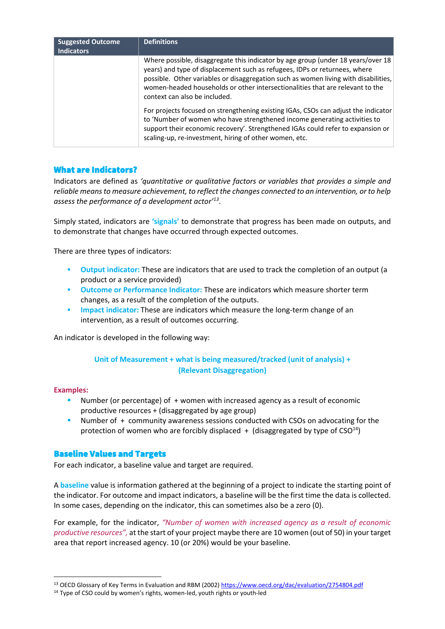| <b>Suggested Outcome</b><br><b>Indicators</b> | <b>Definitions</b>                                                                                                                                                                                                                                                                                                                                                      |
|-----------------------------------------------|-------------------------------------------------------------------------------------------------------------------------------------------------------------------------------------------------------------------------------------------------------------------------------------------------------------------------------------------------------------------------|
|                                               | Where possible, disaggregate this indicator by age group (under 18 years/over 18<br>years) and type of displacement such as refugees, IDPs or returnees, where<br>possible. Other variables or disaggregation such as women living with disabilities,<br>women-headed households or other intersectionalities that are relevant to the<br>context can also be included. |
|                                               | For projects focused on strengthening existing IGAs, CSOs can adjust the indicator<br>to 'Number of women who have strengthened income generating activities to<br>support their economic recovery'. Strengthened IGAs could refer to expansion or<br>scaling-up, re-investment, hiring of other women, etc.                                                            |

## What are Indicators?

Indicators are defined as *'quantitative or qualitative factors or variables that provides a simple and reliable means to measure achievement, to reflect the changes connected to an intervention, or to help assess the performance of a development actor'<sup>13</sup>* .

Simply stated, indicators are **'signals'** to demonstrate that progress has been made on outputs, and to demonstrate that changes have occurred through expected outcomes.

There are three types of indicators:

- **Output indicator:** These are indicators that are used to track the completion of an output (a product or a service provided)
- **Outcome or Performance Indicator:** These are indicators which measure shorter term changes, as a result of the completion of the outputs.
- **Impact indicator:** These are indicators which measure the long-term change of an intervention, as a result of outcomes occurring.

An indicator is developed in the following way:

# **Unit of Measurement + what is being measured/tracked (unit of analysis) + (Relevant Disaggregation)**

#### **Examples:**

- Number (or percentage) of  $+$  women with increased agency as a result of economic productive resources + (disaggregated by age group)
- Number of + community awareness sessions conducted with CSOs on advocating for the protection of women who are forcibly displaced  $+$  (disaggregated by type of CSO<sup>14</sup>)

## Baseline Values and Targets

For each indicator, a baseline value and target are required.

A **baseline** value is information gathered at the beginning of a project to indicate the starting point of the indicator. For outcome and impact indicators, a baseline will be the first time the data is collected. In some cases, depending on the indicator, this can sometimes also be a zero (0).

For example, for the indicator, *"Number of women with increased agency as a result of economic productive resources",* at the start of your project maybe there are 10 women (out of 50) in your target area that report increased agency. 10 (or 20%) would be your baseline.

<sup>13</sup> OECD Glossary of Key Terms in Evaluation and RBM (2002)<https://www.oecd.org/dac/evaluation/2754804.pdf>

<sup>&</sup>lt;sup>14</sup> Type of CSO could by women's rights, women-led, youth rights or youth-led